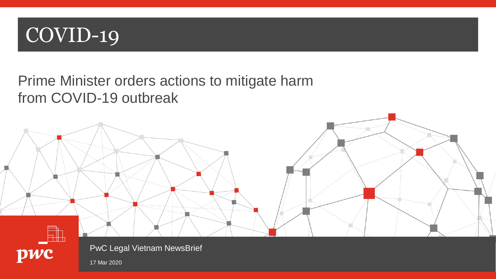

## Prime Minister orders actions to mitigate harm from COVID-19 outbreak





PwC Legal Vietnam NewsBrief

17 Mar 2020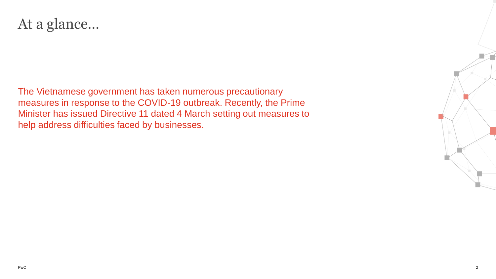## At a glance…

The Vietnamese government has taken numerous precautionary measures in response to the COVID-19 outbreak. Recently, the Prime Minister has issued Directive 11 dated 4 March setting out measures to help address difficulties faced by businesses.

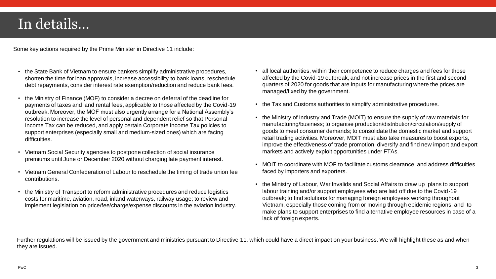## In details…

Some key actions required by the Prime Minister in Directive 11 include:

- the State Bank of Vietnam to ensure bankers simplify administrative procedures, shorten the time for loan approvals, increase accessibility to bank loans, reschedule debt repayments, consider interest rate exemption/reduction and reduce bank fees.
- the Ministry of Finance (MOF) to consider a decree on deferral of the deadline for payments of taxes and land rental fees, applicable to those affected by the Covid-19 outbreak. Moreover, the MOF must also urgently arrange for a National Assembly's resolution to increase the level of personal and dependent relief so that Personal Income Tax can be reduced, and apply certain Corporate Income Tax policies to support enterprises (especially small and medium-sized ones) which are facing difficulties.
- Vietnam Social Security agencies to postpone collection of social insurance premiums until June or December 2020 without charging late payment interest.
- Vietnam General Confederation of Labour to reschedule the timing of trade union fee contributions.
- the Ministry of Transport to reform administrative procedures and reduce logistics costs for maritime, aviation, road, inland waterways, railway usage; to review and implement legislation on price/fee/charge/expense discounts in the aviation industry.
- all local authorities, within their competence to reduce charges and fees for those affected by the Covid-19 outbreak, and not increase prices in the first and second quarters of 2020 for goods that are inputs for manufacturing where the prices are managed/fixed by the government.
- the Tax and Customs authorities to simplify administrative procedures.
- the Ministry of Industry and Trade (MOIT) to ensure the supply of raw materials for manufacturing/business; to organise production/distribution/circulation/supply of goods to meet consumer demands; to consolidate the domestic market and support retail trading activities. Moreover, MOIT must also take measures to boost exports, improve the effectiveness of trade promotion, diversify and find new import and export markets and actively exploit opportunities under FTAs.
- MOIT to coordinate with MOF to facilitate customs clearance, and address difficulties faced by importers and exporters.
- the Ministry of Labour, War Invalids and Social Affairs to draw up plans to support labour training and/or support employees who are laid off due to the Covid-19 outbreak; to find solutions for managing foreign employees working throughout Vietnam, especially those coming from or moving through epidemic regions; and to make plans to support enterprises to find alternative employee resources in case of a lack of foreign experts.

Further regulations will be issued by the government and ministries pursuant to Directive 11, which could have a direct impact on your business. We will highlight these as and when they are issued.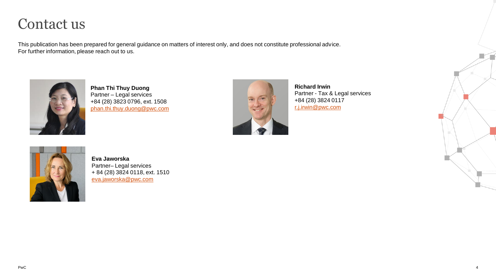## Contact us

This publication has been prepared for general guidance on matters of interest only, and does not constitute professional advice. For further information, please reach out to us.



**Phan Thi Thuy Duong** Partner – Legal services +84 (28) 3823 0796, ext. 1508 [phan.thi.thuy.duong@pwc.com](mailto:phan.thi.thuy.duong@pwc.com)



**Richard Irwin** Partner - Tax & Legal services +84 (28) 3824 0117 [r.j.irwin@pwc.com](mailto:r.j.irwin@pwc.com)



**Eva Jaworska** Partner– Legal services + 84 (28) 3824 0118, ext. 1510 [eva.jaworska@pwc.com](mailto:eva.jaworska@pwc.com)